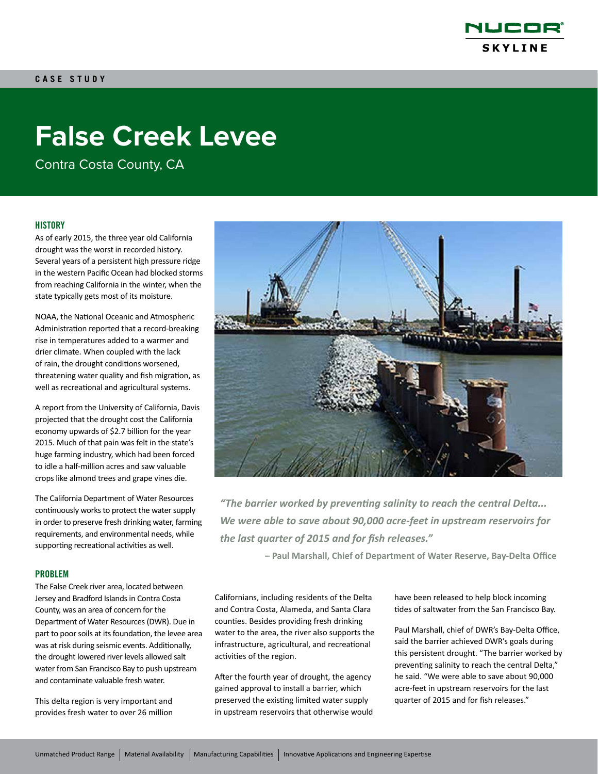

# **False Creek Levee**

Contra Costa County, CA

### **HISTORY**

As of early 2015, the three year old California drought was the worst in recorded history. Several years of a persistent high pressure ridge in the western Pacific Ocean had blocked storms from reaching California in the winter, when the state typically gets most of its moisture.

NOAA, the National Oceanic and Atmospheric Administration reported that a record-breaking rise in temperatures added to a warmer and drier climate. When coupled with the lack of rain, the drought conditions worsened, threatening water quality and fish migration, as well as recreational and agricultural systems.

A report from the University of California, Davis projected that the drought cost the California economy upwards of \$2.7 billion for the year 2015. Much of that pain was felt in the state's huge farming industry, which had been forced to idle a half-million acres and saw valuable crops like almond trees and grape vines die.

The California Department of Water Resources continuously works to protect the water supply in order to preserve fresh drinking water, farming requirements, and environmental needs, while supporting recreational activities as well.

#### PROBLEM

The False Creek river area, located between Jersey and Bradford Islands in Contra Costa County, was an area of concern for the Department of Water Resources (DWR). Due in part to poor soils at its foundation, the levee area was at risk during seismic events. Additionally, the drought lowered river levels allowed salt water from San Francisco Bay to push upstream and contaminate valuable fresh water.

This delta region is very important and provides fresh water to over 26 million



*"The barrier worked by preventing salinity to reach the central Delta... We were able to save about 90,000 acre-feet in upstream reservoirs for the last quarter of 2015 and for fish releases."*

**– Paul Marshall, Chief of Department of Water Reserve, Bay-Delta Office**

Californians, including residents of the Delta and Contra Costa, Alameda, and Santa Clara counties. Besides providing fresh drinking water to the area, the river also supports the infrastructure, agricultural, and recreational activities of the region.

After the fourth year of drought, the agency gained approval to install a barrier, which preserved the existing limited water supply in upstream reservoirs that otherwise would have been released to help block incoming tides of saltwater from the San Francisco Bay.

Paul Marshall, chief of DWR's Bay-Delta Office, said the barrier achieved DWR's goals during this persistent drought. "The barrier worked by preventing salinity to reach the central Delta," he said. "We were able to save about 90,000 acre-feet in upstream reservoirs for the last quarter of 2015 and for fish releases."